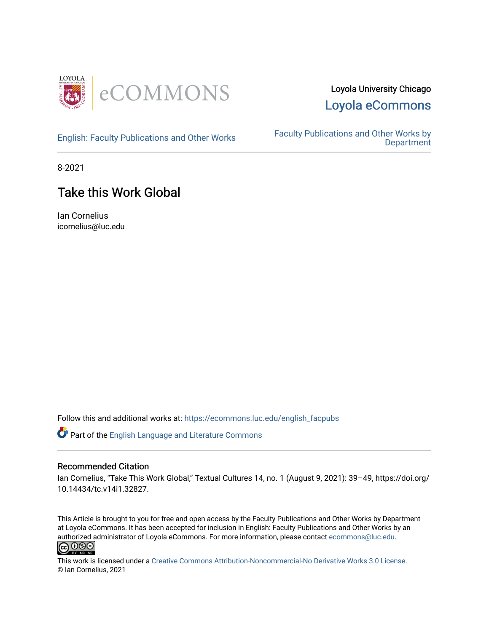

## Loyola University Chicago [Loyola eCommons](https://ecommons.luc.edu/)

[English: Faculty Publications and Other Works](https://ecommons.luc.edu/english_facpubs) Faculty Publications and Other Works by **Department** 

8-2021

# Take this Work Global

Ian Cornelius icornelius@luc.edu

Follow this and additional works at: [https://ecommons.luc.edu/english\\_facpubs](https://ecommons.luc.edu/english_facpubs?utm_source=ecommons.luc.edu%2Fenglish_facpubs%2F88&utm_medium=PDF&utm_campaign=PDFCoverPages) 

Part of the [English Language and Literature Commons](https://network.bepress.com/hgg/discipline/455?utm_source=ecommons.luc.edu%2Fenglish_facpubs%2F88&utm_medium=PDF&utm_campaign=PDFCoverPages)

#### Recommended Citation

Ian Cornelius, "Take This Work Global," Textual Cultures 14, no. 1 (August 9, 2021): 39-49, https://doi.org/ 10.14434/tc.v14i1.32827.

This Article is brought to you for free and open access by the Faculty Publications and Other Works by Department at Loyola eCommons. It has been accepted for inclusion in English: Faculty Publications and Other Works by an authorized administrator of Loyola eCommons. For more information, please contact [ecommons@luc.edu](mailto:ecommons@luc.edu).<br> **@** 000



This work is licensed under a [Creative Commons Attribution-Noncommercial-No Derivative Works 3.0 License.](https://creativecommons.org/licenses/by-nc-nd/3.0/) © Ian Cornelius, 2021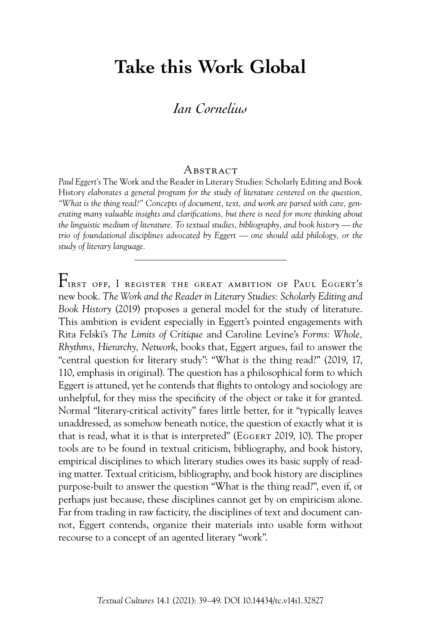# **Take this Work Global**

## *Ian Cornelius*

#### A bstract

*Paul Eggert's* The Work and the Reader in Literary Studies: Scholarly Editing and Book History *elaborates a general program for the study of literature centered on the question, "What is the thing read?" Concepts of document, text, and work are parsed with care, generating many valuable insights and clarifications, but there is need for more thinking about the linguistic medium of literature. To textual studies, bibliography, and book history — the trio of foundational disciplines advocated by Eggert — one should add philology, or the study of literary language.*

 $F_{\text{IRST OFF, I REGISTER THE GREAT AMBITION OF PAUL EGGERT's}$ new book. *The Work and the Reader in Literary Studies: Scholarly Editing and Book History* (2019) proposes a general model for the study of literature. This ambition is evident especially in Eggert's pointed engagements with Rita Felski's *The Limits of Critique* and Caroline Levine's *Forms: Whole, Rhythms, Hierarchy, Network*, books that, Eggert argues, fail to answer the "central question for literary study": "What *is* the thing read?" (2019, 17, 110, emphasis in original). The question has a philosophical form to which Eggert is attuned, yet he contends that flights to ontology and sociology are unhelpful, for they miss the specificity of the object or take it for granted. Normal "literary-critical activity" fares little better, for it "typically leaves unaddressed, as somehow beneath notice, the question of exactly what it is that is read, what it is that is interpreted" (Eggert 2019, 10). The proper tools are to be found in textual criticism, bibliography, and book history, empirical disciplines to which literary studies owes its basic supply of reading matter. Textual criticism, bibliography, and book history are disciplines purpose-built to answer the question "What is the thing read?", even if, or perhaps just because, these disciplines cannot get by on empiricism alone. Far from trading in raw facticity, the disciplines of text and document cannot, Eggert contends, organize their materials into usable form without recourse to a concept of an agented literary "work".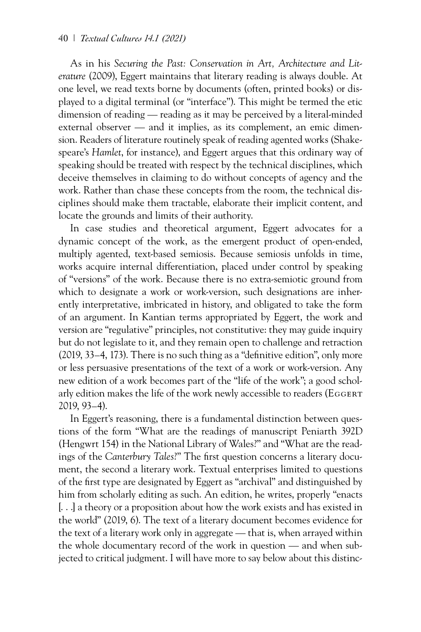As in his *Securing the Past: Conservation in Art, Architecture and Literature* (2009), Eggert maintains that literary reading is always double. At one level, we read texts borne by documents (often, printed books) or displayed to a digital terminal (or "interface"). This might be termed the etic dimension of reading — reading as it may be perceived by a literal-minded external observer — and it implies, as its complement, an emic dimension. Readers of literature routinely speak of reading agented works (Shakespeare's *Hamlet*, for instance), and Eggert argues that this ordinary way of speaking should be treated with respect by the technical disciplines, which deceive themselves in claiming to do without concepts of agency and the work. Rather than chase these concepts from the room, the technical disciplines should make them tractable, elaborate their implicit content, and locate the grounds and limits of their authority.

In case studies and theoretical argument, Eggert advocates for a dynamic concept of the work, as the emergent product of open-ended, multiply agented, text-based semiosis. Because semiosis unfolds in time, works acquire internal differentiation, placed under control by speaking of "versions" of the work. Because there is no extra-semiotic ground from which to designate a work or work-version, such designations are inherently interpretative, imbricated in history, and obligated to take the form of an argument. In Kantian terms appropriated by Eggert, the work and version are "regulative" principles, not constitutive: they may guide inquiry but do not legislate to it, and they remain open to challenge and retraction (2019, 33–4, 173). There is no such thing as a "definitive edition", only more or less persuasive presentations of the text of a work or work-version. Any new edition of a work becomes part of the "life of the work"; a good scholarly edition makes the life of the work newly accessible to readers (EGGERT) 2019, 93–4).

In Eggert's reasoning, there is a fundamental distinction between questions of the form "What are the readings of manuscript Peniarth 392D (Hengwrt 154) in the National Library of Wales?" and "What are the readings of the *Canterbury Tales*?" The first question concerns a literary document, the second a literary work. Textual enterprises limited to questions of the first type are designated by Eggert as "archival" and distinguished by him from scholarly editing as such. An edition, he writes, properly "enacts [. . .] a theory or a proposition about how the work exists and has existed in the world" (2019, 6). The text of a literary document becomes evidence for the text of a literary work only in aggregate — that is, when arrayed within the whole documentary record of the work in question — and when subjected to critical judgment. I will have more to say below about this distinc-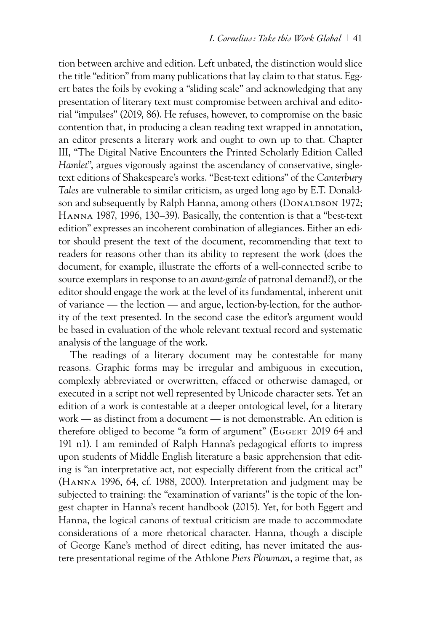tion between archive and edition. Left unbated, the distinction would slice the title "edition" from many publications that lay claim to that status. Eggert bates the foils by evoking a "sliding scale" and acknowledging that any presentation of literary text must compromise between archival and editorial "impulses" (2019, 86). He refuses, however, to compromise on the basic contention that, in producing a clean reading text wrapped in annotation, an editor presents a literary work and ought to own up to that. Chapter III, "The Digital Native Encounters the Printed Scholarly Edition Called *Hamlet*", argues vigorously against the ascendancy of conservative, singletext editions of Shakespeare's works. "Best-text editions" of the *Canterbury Tales* are vulnerable to similar criticism, as urged long ago by E.T. Donaldson and subsequently by Ralph Hanna, among others (DONALDSON 1972; Hanna 1987, 1996, 130–39). Basically, the contention is that a "best-text edition" expresses an incoherent combination of allegiances. Either an editor should present the text of the document, recommending that text to readers for reasons other than its ability to represent the work (does the document, for example, illustrate the efforts of a well-connected scribe to source exemplars in response to an *avant-garde* of patronal demand?), or the editor should engage the work at the level of its fundamental, inherent unit of variance — the lection — and argue, lection-by-lection, for the authority of the text presented. In the second case the editor's argument would be based in evaluation of the whole relevant textual record and systematic analysis of the language of the work.

The readings of a literary document may be contestable for many reasons. Graphic forms may be irregular and ambiguous in execution, complexly abbreviated or overwritten, effaced or otherwise damaged, or executed in a script not well represented by Unicode character sets. Yet an edition of a work is contestable at a deeper ontological level, for a literary work — as distinct from a document — is not demonstrable. An edition is therefore obliged to become "a form of argument" (EGGERT 2019 64 and 191 n1). I am reminded of Ralph Hanna's pedagogical efforts to impress upon students of Middle English literature a basic apprehension that editing is "an interpretative act, not especially different from the critical act" (Hanna 1996, 64, cf. 1988, 2000). Interpretation and judgment may be subjected to training: the "examination of variants" is the topic of the longest chapter in Hanna's recent handbook (2015). Yet, for both Eggert and Hanna, the logical canons of textual criticism are made to accommodate considerations of a more rhetorical character. Hanna, though a disciple of George Kane's method of direct editing, has never imitated the austere presentational regime of the Athlone *Piers Plowman*, a regime that, as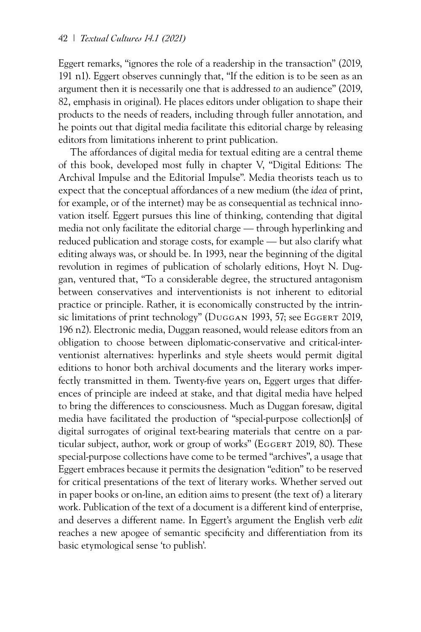Eggert remarks, "ignores the role of a readership in the transaction" (2019, 191 n1). Eggert observes cunningly that, "If the edition is to be seen as an argument then it is necessarily one that is addressed *to* an audience" (2019, 82, emphasis in original). He places editors under obligation to shape their products to the needs of readers, including through fuller annotation, and he points out that digital media facilitate this editorial charge by releasing editors from limitations inherent to print publication.

The affordances of digital media for textual editing are a central theme of this book, developed most fully in chapter V, "Digital Editions: The Archival Impulse and the Editorial Impulse". Media theorists teach us to expect that the conceptual affordances of a new medium (the *idea* of print, for example, or of the internet) may be as consequential as technical innovation itself. Eggert pursues this line of thinking, contending that digital media not only facilitate the editorial charge — through hyperlinking and reduced publication and storage costs, for example — but also clarify what editing always was, or should be. In 1993, near the beginning of the digital revolution in regimes of publication of scholarly editions, Hoyt N. Duggan, ventured that, "To a considerable degree, the structured antagonism between conservatives and interventionists is not inherent to editorial practice or principle. Rather, it is economically constructed by the intrinsic limitations of print technology" (DUGGAN 1993, 57; see EGGERT 2019, 196 n2). Electronic media, Duggan reasoned, would release editors from an obligation to choose between diplomatic-conservative and critical-interventionist alternatives: hyperlinks and style sheets would permit digital editions to honor both archival documents and the literary works imperfectly transmitted in them. Twenty-five years on, Eggert urges that differences of principle are indeed at stake, and that digital media have helped to bring the differences to consciousness. Much as Duggan foresaw, digital media have facilitated the production of "special-purpose collection[s] of digital surrogates of original text-bearing materials that centre on a particular subject, author, work or group of works" (EGGERT 2019, 80). These special-purpose collections have come to be termed "archives", a usage that Eggert embraces because it permits the designation "edition" to be reserved for critical presentations of the text of literary works. Whether served out in paper books or on-line, an edition aims to present (the text of) a literary work. Publication of the text of a document is a different kind of enterprise, and deserves a different name. In Eggert's argument the English verb *edit* reaches a new apogee of semantic specificity and differentiation from its basic etymological sense 'to publish'.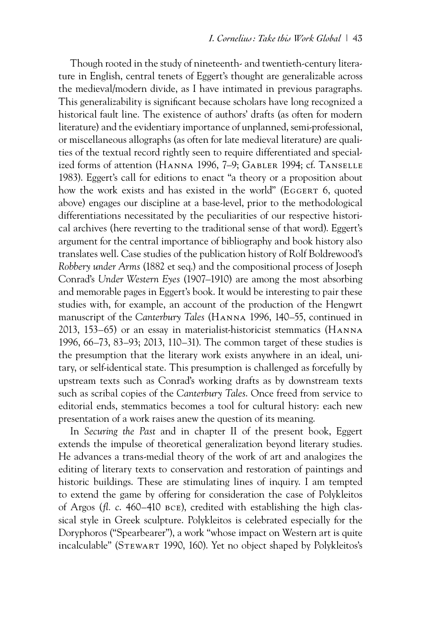Though rooted in the study of nineteenth- and twentieth-century literature in English, central tenets of Eggert's thought are generalizable across the medieval/modern divide, as I have intimated in previous paragraphs. This generalizability is significant because scholars have long recognized a historical fault line. The existence of authors' drafts (as often for modern literature) and the evidentiary importance of unplanned, semi-professional, or miscellaneous allographs (as often for late medieval literature) are qualities of the textual record rightly seen to require differentiated and specialized forms of attention (Hanna 1996, 7–9; Gabler 1994; cf. Tanselle 1983). Eggert's call for editions to enact "a theory or a proposition about how the work exists and has existed in the world" (EGGERT 6, quoted above) engages our discipline at a base-level, prior to the methodological differentiations necessitated by the peculiarities of our respective historical archives (here reverting to the traditional sense of that word). Eggert's argument for the central importance of bibliography and book history also translates well. Case studies of the publication history of Rolf Boldrewood's *Robbery under Arms* (1882 et seq.) and the compositional process of Joseph Conrad's *Under Western Eyes* (1907–1910) are among the most absorbing and memorable pages in Eggert's book. It would be interesting to pair these studies with, for example, an account of the production of the Hengwrt manuscript of the *Canterbury Tales* (Hanna 1996, 140–55, continued in 2013, 153–65) or an essay in materialist-historicist stemmatics (Hanna 1996, 66–73, 83–93; 2013, 110–31). The common target of these studies is the presumption that the literary work exists anywhere in an ideal, unitary, or self-identical state. This presumption is challenged as forcefully by upstream texts such as Conrad's working drafts as by downstream texts such as scribal copies of the *Canterbury Tales*. Once freed from service to editorial ends, stemmatics becomes a tool for cultural history: each new presentation of a work raises anew the question of its meaning.

In *Securing the Past* and in chapter II of the present book, Eggert extends the impulse of theoretical generalization beyond literary studies. He advances a trans-medial theory of the work of art and analogizes the editing of literary texts to conservation and restoration of paintings and historic buildings. These are stimulating lines of inquiry. I am tempted to extend the game by offering for consideration the case of Polykleitos of Argos (*fl. c*. 460–410 bce), credited with establishing the high classical style in Greek sculpture. Polykleitos is celebrated especially for the Doryphoros ("Spearbearer"), a work "whose impact on Western art is quite incalculable" (Stewart 1990, 160). Yet no object shaped by Polykleitos's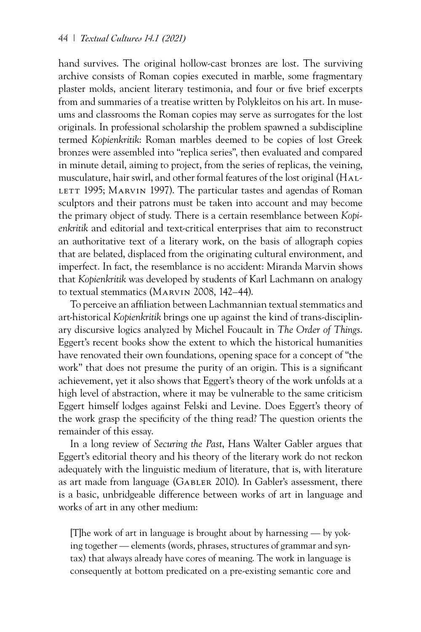hand survives. The original hollow-cast bronzes are lost. The surviving archive consists of Roman copies executed in marble, some fragmentary plaster molds, ancient literary testimonia, and four or five brief excerpts from and summaries of a treatise written by Polykleitos on his art. In museums and classrooms the Roman copies may serve as surrogates for the lost originals. In professional scholarship the problem spawned a subdiscipline termed *Kopienkritik*: Roman marbles deemed to be copies of lost Greek bronzes were assembled into "replica series", then evaluated and compared in minute detail, aiming to project, from the series of replicas, the veining, musculature, hair swirl, and other formal features of the lost original (Hal-LETT 1995; MARVIN 1997). The particular tastes and agendas of Roman sculptors and their patrons must be taken into account and may become the primary object of study. There is a certain resemblance between *Kopienkritik* and editorial and text-critical enterprises that aim to reconstruct an authoritative text of a literary work, on the basis of allograph copies that are belated, displaced from the originating cultural environment, and imperfect. In fact, the resemblance is no accident: Miranda Marvin shows that *Kopienkritik* was developed by students of Karl Lachmann on analogy to textual stemmatics (Marvin 2008, 142–44).

To perceive an affiliation between Lachmannian textual stemmatics and art-historical *Kopienkritik* brings one up against the kind of trans-disciplinary discursive logics analyzed by Michel Foucault in *The Order of Things*. Eggert's recent books show the extent to which the historical humanities have renovated their own foundations, opening space for a concept of "the work" that does not presume the purity of an origin. This is a significant achievement, yet it also shows that Eggert's theory of the work unfolds at a high level of abstraction, where it may be vulnerable to the same criticism Eggert himself lodges against Felski and Levine. Does Eggert's theory of the work grasp the specificity of the thing read? The question orients the remainder of this essay.

In a long review of *Securing the Past*, Hans Walter Gabler argues that Eggert's editorial theory and his theory of the literary work do not reckon adequately with the linguistic medium of literature, that is, with literature as art made from language (GABLER 2010). In Gabler's assessment, there is a basic, unbridgeable difference between works of art in language and works of art in any other medium:

[T]he work of art in language is brought about by harnessing — by yoking together — elements (words, phrases, structures of grammar and syntax) that always already have cores of meaning. The work in language is consequently at bottom predicated on a pre-existing semantic core and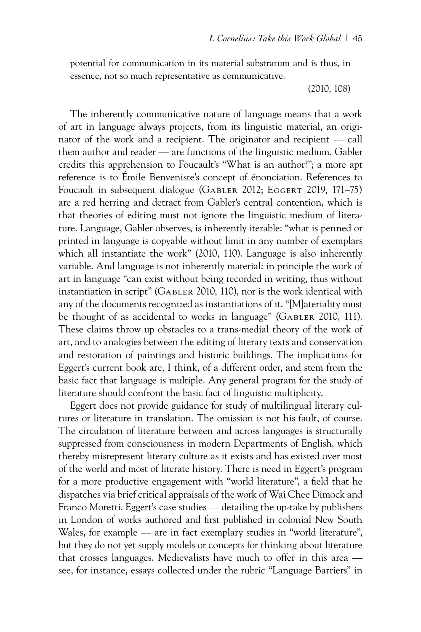potential for communication in its material substratum and is thus, in essence, not so much representative as communicative.

(2010, 108)

The inherently communicative nature of language means that a work of art in language always projects, from its linguistic material, an originator of the work and a recipient. The originator and recipient — call them author and reader — are functions of the linguistic medium. Gabler credits this apprehension to Foucault's "What is an author?"; a more apt reference is to Émile Benveniste's concept of énonciation. References to Foucault in subsequent dialogue (GABLER 2012; EGGERT 2019, 171–75) are a red herring and detract from Gabler's central contention, which is that theories of editing must not ignore the linguistic medium of literature. Language, Gabler observes, is inherently iterable: "what is penned or printed in language is copyable without limit in any number of exemplars which all instantiate the work" (2010, 110). Language is also inherently variable. And language is not inherently material: in principle the work of art in language "can exist without being recorded in writing, thus without instantiation in script" (Gabler 2010, 110), nor is the work identical with any of the documents recognized as instantiations of it. "[M]ateriality must be thought of as accidental to works in language" (GABLER 2010, 111). These claims throw up obstacles to a trans-medial theory of the work of art, and to analogies between the editing of literary texts and conservation and restoration of paintings and historic buildings. The implications for Eggert's current book are, I think, of a different order, and stem from the basic fact that language is multiple. Any general program for the study of literature should confront the basic fact of linguistic multiplicity.

Eggert does not provide guidance for study of multilingual literary cultures or literature in translation. The omission is not his fault, of course. The circulation of literature between and across languages is structurally suppressed from consciousness in modern Departments of English, which thereby misrepresent literary culture as it exists and has existed over most of the world and most of literate history. There is need in Eggert's program for a more productive engagement with "world literature", a field that he dispatches via brief critical appraisals of the work of Wai Chee Dimock and Franco Moretti. Eggert's case studies — detailing the up-take by publishers in London of works authored and first published in colonial New South Wales, for example — are in fact exemplary studies in "world literature", but they do not yet supply models or concepts for thinking about literature that crosses languages. Medievalists have much to offer in this area see, for instance, essays collected under the rubric "Language Barriers" in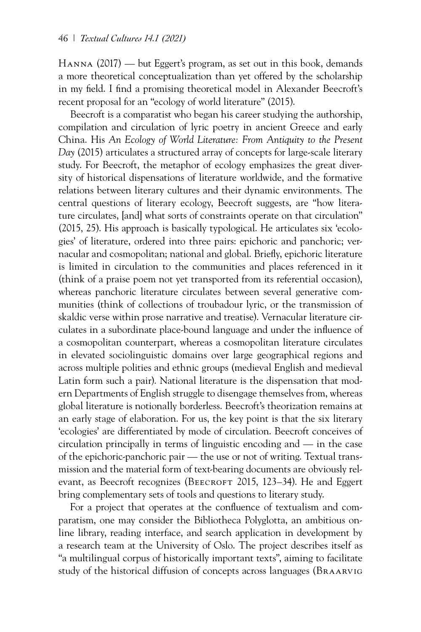Hanna (2017) — but Eggert's program, as set out in this book, demands a more theoretical conceptualization than yet offered by the scholarship in my field. I find a promising theoretical model in Alexander Beecroft's recent proposal for an "ecology of world literature" (2015).

Beecroft is a comparatist who began his career studying the authorship, compilation and circulation of lyric poetry in ancient Greece and early China. His *An Ecology of World Literature: From Antiquity to the Present Day* (2015) articulates a structured array of concepts for large-scale literary study. For Beecroft, the metaphor of ecology emphasizes the great diversity of historical dispensations of literature worldwide, and the formative relations between literary cultures and their dynamic environments. The central questions of literary ecology, Beecroft suggests, are "how literature circulates, [and] what sorts of constraints operate on that circulation" (2015, 25). His approach is basically typological. He articulates six 'ecologies' of literature, ordered into three pairs: epichoric and panchoric; vernacular and cosmopolitan; national and global. Briefly, epichoric literature is limited in circulation to the communities and places referenced in it (think of a praise poem not yet transported from its referential occasion), whereas panchoric literature circulates between several generative communities (think of collections of troubadour lyric, or the transmission of skaldic verse within prose narrative and treatise). Vernacular literature circulates in a subordinate place-bound language and under the influence of a cosmopolitan counterpart, whereas a cosmopolitan literature circulates in elevated sociolinguistic domains over large geographical regions and across multiple polities and ethnic groups (medieval English and medieval Latin form such a pair). National literature is the dispensation that modern Departments of English struggle to disengage themselves from, whereas global literature is notionally borderless. Beecroft's theorization remains at an early stage of elaboration. For us, the key point is that the six literary 'ecologies' are differentiated by mode of circulation. Beecroft conceives of circulation principally in terms of linguistic encoding and — in the case of the epichoric-panchoric pair — the use or not of writing. Textual transmission and the material form of text-bearing documents are obviously relevant, as Beecroft recognizes (BEECROFT 2015, 123–34). He and Eggert bring complementary sets of tools and questions to literary study.

For a project that operates at the confluence of textualism and comparatism, one may consider the Bibliotheca Polyglotta, an ambitious online library, reading interface, and search application in development by a research team at the University of Oslo. The project describes itself as "a multilingual corpus of historically important texts", aiming to facilitate study of the historical diffusion of concepts across languages (Braarvig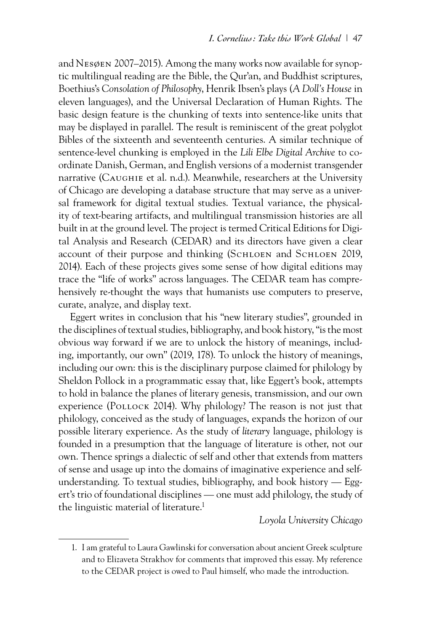and Nesøen 2007–2015). Among the many works now available for synoptic multilingual reading are the Bible, the Qur'an, and Buddhist scriptures, Boethius's *Consolation of Philosophy*, Henrik Ibsen's plays (*A Doll's House* in eleven languages), and the Universal Declaration of Human Rights. The basic design feature is the chunking of texts into sentence-like units that may be displayed in parallel. The result is reminiscent of the great polyglot Bibles of the sixteenth and seventeenth centuries. A similar technique of sentence-level chunking is employed in the *Lili Elbe Digital Archive* to coordinate Danish, German, and English versions of a modernist transgender narrative (Caughie et al. n.d.). Meanwhile, researchers at the University of Chicago are developing a database structure that may serve as a universal framework for digital textual studies. Textual variance, the physicality of text-bearing artifacts, and multilingual transmission histories are all built in at the ground level. The project is termed Critical Editions for Digital Analysis and Research (CEDAR) and its directors have given a clear account of their purpose and thinking (SCHLOEN and SCHLOEN 2019, 2014). Each of these projects gives some sense of how digital editions may trace the "life of works" across languages. The CEDAR team has comprehensively re-thought the ways that humanists use computers to preserve, curate, analyze, and display text.

Eggert writes in conclusion that his "new literary studies", grounded in the disciplines of textual studies, bibliography, and book history, "is the most obvious way forward if we are to unlock the history of meanings, including, importantly, our own" (2019, 178). To unlock the history of meanings, including our own: this is the disciplinary purpose claimed for philology by Sheldon Pollock in a programmatic essay that, like Eggert's book, attempts to hold in balance the planes of literary genesis, transmission, and our own experience (POLLOCK 2014). Why philology? The reason is not just that philology, conceived as the study of languages, expands the horizon of our possible literary experience. As the study of *literary* language, philology is founded in a presumption that the language of literature is other, not our own. Thence springs a dialectic of self and other that extends from matters of sense and usage up into the domains of imaginative experience and selfunderstanding. To textual studies, bibliography, and book history — Eggert's trio of foundational disciplines — one must add philology, the study of the linguistic material of literature.<sup>1</sup>

### *Loyola University Chicago*

<sup>1.</sup> I am grateful to Laura Gawlinski for conversation about ancient Greek sculpture and to Elizaveta Strakhov for comments that improved this essay. My reference to the CEDAR project is owed to Paul himself, who made the introduction.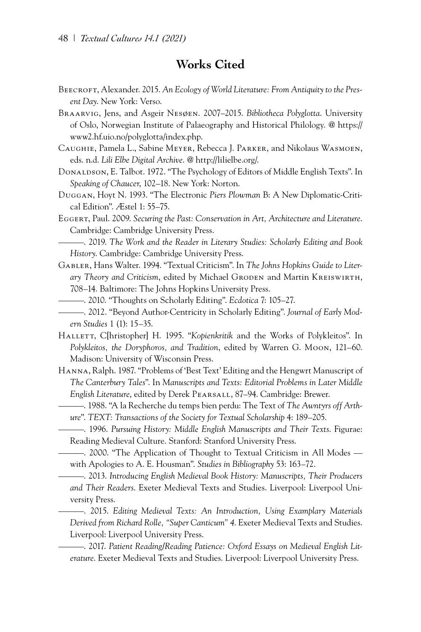## **Works Cited**

- BEECROFT, Alexander. 2015. An Ecology of World Literature: From Antiquity to the Pres*ent Day*. New York: Verso.
- Braarvig, Jens, and Asgeir Nesøen. 2007–2015. *Bibliotheca Polyglotta*. University of Oslo, Norwegian Institute of Palaeography and Historical Philology. @ [https://](https://www2.hf.uio.no/polyglotta/index.php) [www2.hf.uio.no/polyglotta/index.php.](https://www2.hf.uio.no/polyglotta/index.php)
- Caughie, Pamela L., Sabine Meyer, Rebecca J. Parker, and Nikolaus Wasmoen, eds. n.d. *Lili Elbe Digital Archive*. @ <http://lilielbe.org/>.
- Donaldson, E. Talbot. 1972. "The Psychology of Editors of Middle English Texts". In *Speaking of Chaucer*, 102–18. New York: Norton.
- Duggan, Hoyt N. 1993. "The Electronic *Piers Plowman* B: A New Diplomatic-Critical Edition". Æstel 1: 55–75.
- Eggert, Paul. 2009. *Securing the Past: Conservation in Art, Architecture and Literature*. Cambridge: Cambridge University Press.
- ———. 2019. *The Work and the Reader in Literary Studies: Scholarly Editing and Book History*. Cambridge: Cambridge University Press.
- Gabler, Hans Walter. 1994. "Textual Criticism". In *The Johns Hopkins Guide to Literary Theory and Criticism*, edited by Michael Groden and Martin Kreiswirth, 708–14. Baltimore: The Johns Hopkins University Press.
	- ———. 2010. "Thoughts on Scholarly Editing". *Ecdotica* 7: 105–27.
- ———. 2012. "Beyond Author-Centricity in Scholarly Editing". *Journal of Early Modern Studies* 1 (1): 15–35.
- HALLETT, C[hristopher] H. 1995. "*Kopienkritik* and the Works of Polykleitos". In *Polykleitos, the Doryphoros, and Tradition*, edited by Warren G. Moon, 121–60. Madison: University of Wisconsin Press.
- Hanna, Ralph. 1987. "Problems of 'Best Text' Editing and the Hengwrt Manuscript of *The Canterbury Tales*". In *Manuscripts and Texts: Editorial Problems in Later Middle English Literature*, edited by Derek Pearsall, 87–94. Cambridge: Brewer.
	- ———. 1988. "A la Recherche du temps bien perdu: The Text of *The Awntyrs off Arthure*". *TEXT: Transactions of the Society for Textual Scholarship* 4: 189–205.
	- ———. 1996. *Pursuing History: Middle English Manuscripts and Their Texts*. Figurae: Reading Medieval Culture. Stanford: Stanford University Press.
	- ———. 2000. "The Application of Thought to Textual Criticism in All Modes with Apologies to A. E. Housman". *Studies in Bibliography* 53: 163–72.
	- ———. 2013. *Introducing English Medieval Book History: Manuscripts, Their Producers and Their Readers*. Exeter Medieval Texts and Studies. Liverpool: Liverpool University Press.
	- ———. 2015. *Editing Medieval Texts: An Introduction, Using Examplary Materials Derived from Richard Rolle, "Super Canticum" 4*. Exeter Medieval Texts and Studies. Liverpool: Liverpool University Press.
	- ———. 2017. *Patient Reading/Reading Patience: Oxford Essays on Medieval English Literature*. Exeter Medieval Texts and Studies. Liverpool: Liverpool University Press.